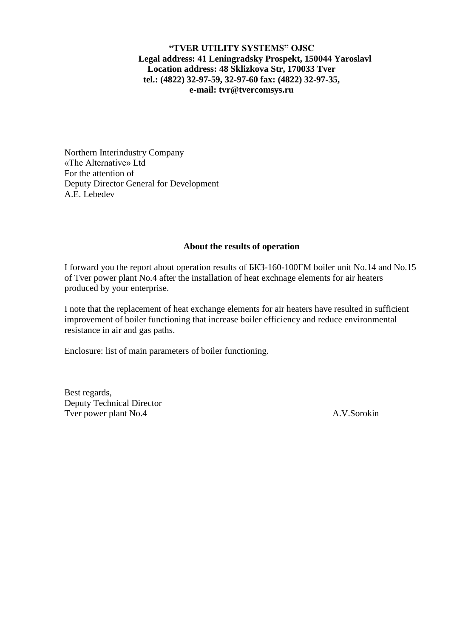## **"TVER UTILITY SYSTEMS" OJSC Legal address: 41 Leningradsky Prospekt, 150044 Yaroslavl Location address: 48 Sklizkova Str, 170033 Tver tel.: (4822) 32-97-59, 32-97-60 fax: (4822) 32-97-35, e-mail: tvr@tvercomsys.ru**

Northern Interindustry Company «The Alternative» Ltd For the attention of Deputy Director General for Development A.E. Lebedev

## **About the results of operation**

I forward you the report about operation results of БКЗ-160-100ГМ boiler unit No.14 and No.15 of Tver power plant No.4 after the installation of heat exchnage elements for air heaters produced by your enterprise.

I note that the replacement of heat exchange elements for air heaters have resulted in sufficient improvement of boiler functioning that increase boiler efficiency and reduce environmental resistance in air and gas paths.

Enclosure: list of main parameters of boiler functioning.

Best regards, Deputy Technical Director Tver power plant No.4 A.V.Sorokin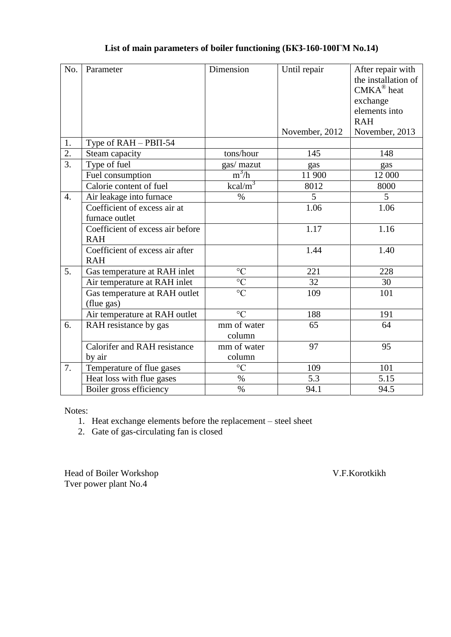## **List of main parameters of boiler functioning (БКЗ-160-100ГМ No.14)**

| No.              | Parameter                                      | Dimension             | Until repair   | After repair with<br>the installation of<br>$CMKA^{\circledR}$ heat<br>exchange<br>elements into<br><b>RAH</b> |
|------------------|------------------------------------------------|-----------------------|----------------|----------------------------------------------------------------------------------------------------------------|
|                  |                                                |                       | November, 2012 | November, 2013                                                                                                 |
| 1.               | Type of $RAH - PBII-54$                        |                       |                |                                                                                                                |
| $\overline{2}$ . | Steam capacity                                 | tons/hour             | 145            | 148                                                                                                            |
| $\overline{3}$ . | Type of fuel                                   | gas/ mazut            | gas            | gas                                                                                                            |
|                  | Fuel consumption                               | $m^3/h$               | 11 900         | 12 000                                                                                                         |
|                  | Calorie content of fuel                        | $kcal/m^3$            | 8012           | 8000                                                                                                           |
| $\overline{4}$ . | Air leakage into furnace                       | $\%$                  | 5              | 5                                                                                                              |
|                  | Coefficient of excess air at<br>furnace outlet |                       | 1.06           | 1.06                                                                                                           |
|                  | Coefficient of excess air before<br><b>RAH</b> |                       | 1.17           | 1.16                                                                                                           |
|                  | Coefficient of excess air after<br><b>RAH</b>  |                       | 1.44           | 1.40                                                                                                           |
| 5.               | Gas temperature at RAH inlet                   | $\rm ^{\circ}C$       | 221            | 228                                                                                                            |
|                  | Air temperature at RAH inlet                   | $\overline{C}$        | 32             | 30                                                                                                             |
|                  | Gas temperature at RAH outlet<br>(flue gas)    | $\overline{C}$        | 109            | 101                                                                                                            |
|                  | Air temperature at RAH outlet                  | $\overline{C}$        | 188            | 191                                                                                                            |
| 6.               | RAH resistance by gas                          | mm of water<br>column | 65             | 64                                                                                                             |
|                  | <b>Calorifer and RAH resistance</b>            | mm of water           | 97             | 95                                                                                                             |
|                  | by air                                         | column                |                |                                                                                                                |
| 7.               | Temperature of flue gases                      | $\rm ^{\circ}C$       | 109            | 101                                                                                                            |
|                  | Heat loss with flue gases                      | $\%$                  | 5.3            | 5.15                                                                                                           |
|                  | Boiler gross efficiency                        | $\overline{\%}$       | 94.1           | 94.5                                                                                                           |

Notes:

- 1. Heat exchange elements before the replacement steel sheet
- 2. Gate of gas-circulating fan is closed

Head of Boiler Workshop V.F.Korotkikh Tver power plant No.4